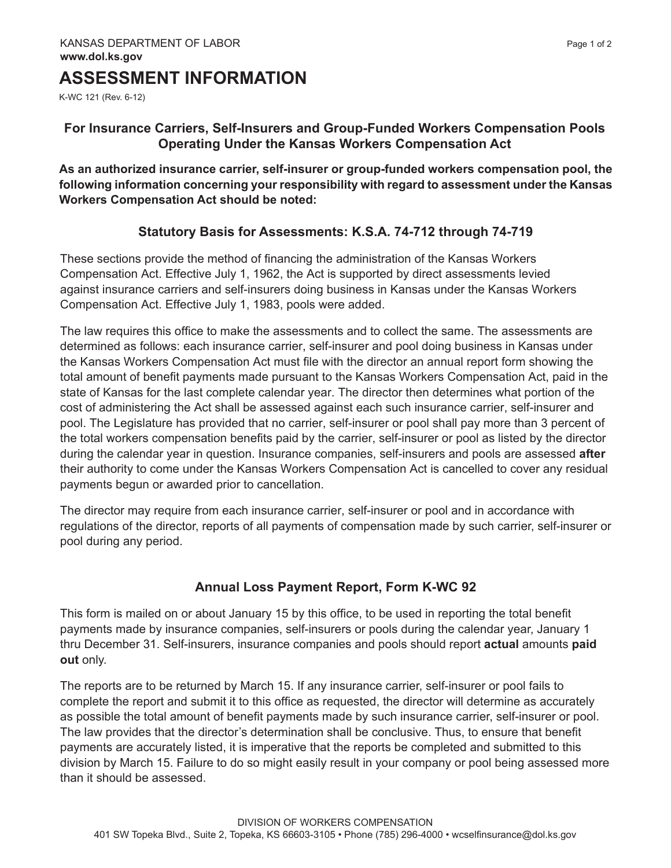# **ASSESSMENT INFORMATION**

K-WC 121 (Rev. 6-12)

## **For Insurance Carriers, Self-Insurers and Group-Funded Workers Compensation Pools Operating Under the Kansas Workers Compensation Act**

**As an authorized insurance carrier, self-insurer or group-funded workers compensation pool, the following information concerning your responsibility with regard to assessment under the Kansas Workers Compensation Act should be noted:**

#### **Statutory Basis for Assessments: K.S.A. 74-712 through 74-719**

These sections provide the method of financing the administration of the Kansas Workers Compensation Act. Effective July 1, 1962, the Act is supported by direct assessments levied against insurance carriers and self-insurers doing business in Kansas under the Kansas Workers Compensation Act. Effective July 1, 1983, pools were added.

The law requires this office to make the assessments and to collect the same. The assessments are determined as follows: each insurance carrier, self-insurer and pool doing business in Kansas under the Kansas Workers Compensation Act must file with the director an annual report form showing the total amount of benefit payments made pursuant to the Kansas Workers Compensation Act, paid in the state of Kansas for the last complete calendar year. The director then determines what portion of the cost of administering the Act shall be assessed against each such insurance carrier, self-insurer and pool. The Legislature has provided that no carrier, self-insurer or pool shall pay more than 3 percent of the total workers compensation benefits paid by the carrier, self-insurer or pool as listed by the director during the calendar year in question. Insurance companies, self-insurers and pools are assessed **after** their authority to come under the Kansas Workers Compensation Act is cancelled to cover any residual payments begun or awarded prior to cancellation.

The director may require from each insurance carrier, self-insurer or pool and in accordance with regulations of the director, reports of all payments of compensation made by such carrier, self-insurer or pool during any period.

## **Annual Loss Payment Report, Form K-WC 92**

This form is mailed on or about January 15 by this office, to be used in reporting the total benefit payments made by insurance companies, self-insurers or pools during the calendar year, January 1 thru December 31. Self-insurers, insurance companies and pools should report **actual** amounts **paid out** only.

The reports are to be returned by March 15. If any insurance carrier, self-insurer or pool fails to complete the report and submit it to this office as requested, the director will determine as accurately as possible the total amount of benefit payments made by such insurance carrier, self-insurer or pool. The law provides that the director's determination shall be conclusive. Thus, to ensure that benefit payments are accurately listed, it is imperative that the reports be completed and submitted to this division by March 15. Failure to do so might easily result in your company or pool being assessed more than it should be assessed.